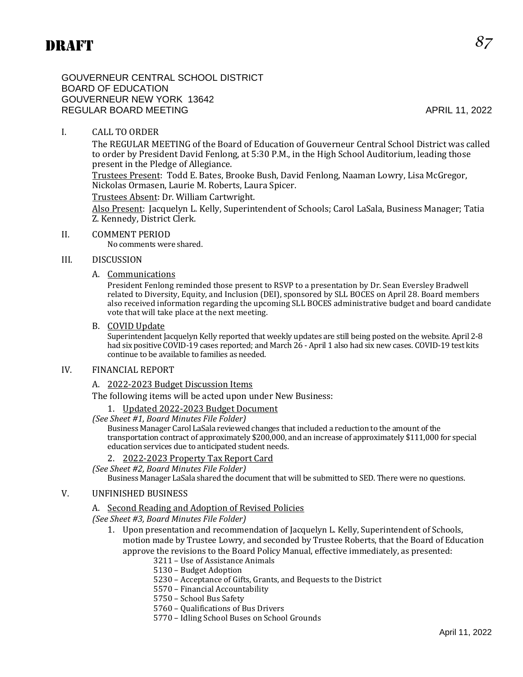GOUVERNEUR CENTRAL SCHOOL DISTRICT BOARD OF EDUCATION GOUVERNEUR NEW YORK 13642 REGULAR BOARD MEETING APRIL 11, 2022

# I. CALL TO ORDER

The REGULAR MEETING of the Board of Education of Gouverneur Central School District was called to order by President David Fenlong, at 5:30 P.M., in the High School Auditorium, leading those present in the Pledge of Allegiance.

Trustees Present: Todd E. Bates, Brooke Bush, David Fenlong, Naaman Lowry, Lisa McGregor, Nickolas Ormasen, Laurie M. Roberts, Laura Spicer.

Trustees Absent: Dr. William Cartwright.

Also Present: Jacquelyn L. Kelly, Superintendent of Schools; Carol LaSala, Business Manager; Tatia Z. Kennedy, District Clerk.

#### II. COMMENT PERIOD

No comments were shared.

#### III. DISCUSSION

#### A. Communications

President Fenlong reminded those present to RSVP to a presentation by Dr. Sean Eversley Bradwell related to Diversity, Equity, and Inclusion (DEI), sponsored by SLL BOCES on April 28. Board members also received information regarding the upcoming SLL BOCES administrative budget and board candidate vote that will take place at the next meeting.

#### B. COVID Update

Superintendent Jacquelyn Kelly reported that weekly updates are still being posted on the website. April 2-8 had six positive COVID-19 cases reported; and March 26 - April 1 also had six new cases. COVID-19 test kits continue to be available to families as needed.

#### IV. FINANCIAL REPORT

A. 2022-2023 Budget Discussion Items

The following items will be acted upon under New Business:

#### 1. Updated 2022-2023 Budget Document

*(See Sheet #1, Board Minutes File Folder)*

Business Manager Carol LaSala reviewed changes that included a reduction to the amount of the transportation contract of approximately \$200,000, and an increase of approximately \$111,000 for special education services due to anticipated student needs.

#### 2. 2022-2023 Property Tax Report Card

*(See Sheet #2, Board Minutes File Folder)*

Business Manager LaSala shared the document that will be submitted to SED. There were no questions.

### V. UNFINISHED BUSINESS

#### A. Second Reading and Adoption of Revised Policies

*(See Sheet #3, Board Minutes File Folder)*

- 1. Upon presentation and recommendation of Jacquelyn L. Kelly, Superintendent of Schools, motion made by Trustee Lowry, and seconded by Trustee Roberts, that the Board of Education approve the revisions to the Board Policy Manual, effective immediately, as presented:
	- 3211 Use of Assistance Animals
	- 5130 Budget Adoption
	- 5230 Acceptance of Gifts, Grants, and Bequests to the District
	- 5570 Financial Accountability
	- 5750 School Bus Safety
	- 5760 Qualifications of Bus Drivers
	- 5770 Idling School Buses on School Grounds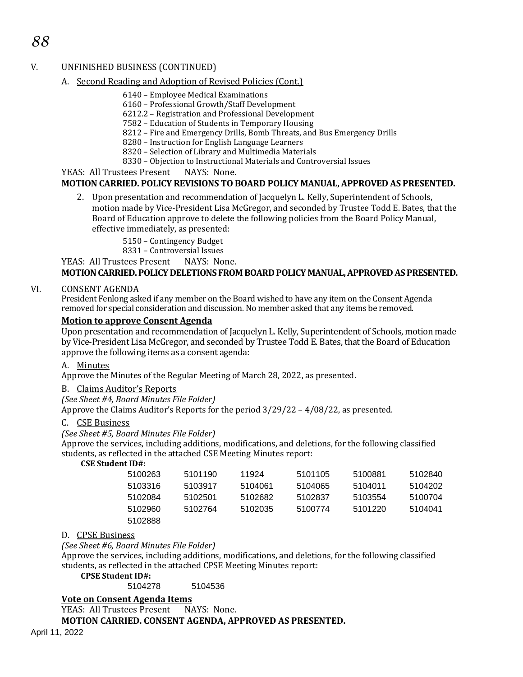*88*

# V. UNFINISHED BUSINESS (CONTINUED)

- A. Second Reading and Adoption of Revised Policies (Cont.)
	- 6140 Employee Medical Examinations
	- 6160 Professional Growth/Staff Development
	- 6212.2 Registration and Professional Development
	- 7582 Education of Students in Temporary Housing
	- 8212 Fire and Emergency Drills, Bomb Threats, and Bus Emergency Drills
	- 8280 Instruction for English Language Learners
	- 8320 Selection of Library and Multimedia Materials
	- 8330 Objection to Instructional Materials and Controversial Issues

YEAS: All Trustees Present NAYS: None.

# **MOTION CARRIED. POLICY REVISIONS TO BOARD POLICY MANUAL, APPROVED AS PRESENTED.**

2. Upon presentation and recommendation of Jacquelyn L. Kelly, Superintendent of Schools, motion made by Vice-President Lisa McGregor, and seconded by Trustee Todd E. Bates, that the Board of Education approve to delete the following policies from the Board Policy Manual, effective immediately, as presented:

5150 – Contingency Budget

8331 – Controversial Issues

YEAS: All Trustees Present NAYS: None.

# **MOTION CARRIED. POLICY DELETIONS FROM BOARD POLICY MANUAL, APPROVED AS PRESENTED.**

### VI. CONSENT AGENDA

President Fenlong asked if any member on the Board wished to have any item on the Consent Agenda removed for special consideration and discussion. No member asked that any items be removed.

# **Motion to approve Consent Agenda**

Upon presentation and recommendation of Jacquelyn L. Kelly, Superintendent of Schools, motion made by Vice-President Lisa McGregor, and seconded by Trustee Todd E. Bates, that the Board of Education approve the following items as a consent agenda:

#### A. Minutes

Approve the Minutes of the Regular Meeting of March 28, 2022, as presented.

# B. Claims Auditor's Reports

*(See Sheet #4, Board Minutes File Folder)*

Approve the Claims Auditor's Reports for the period 3/29/22 – 4/08/22, as presented.

#### C. CSE Business

#### *(See Sheet #5, Board Minutes File Folder)*

Approve the services, including additions, modifications, and deletions, for the following classified students, as reflected in the attached CSE Meeting Minutes report:

#### **CSE Student ID#:**

| 5100263 | 5101190 | 11924   | 5101105 | 5100881 | 5102840 |
|---------|---------|---------|---------|---------|---------|
| 5103316 | 5103917 | 5104061 | 5104065 | 5104011 | 5104202 |
| 5102084 | 5102501 | 5102682 | 5102837 | 5103554 | 5100704 |
| 5102960 | 5102764 | 5102035 | 5100774 | 5101220 | 5104041 |
| 5102888 |         |         |         |         |         |

# D. CPSE Business

*(See Sheet #6, Board Minutes File Folder)*

Approve the services, including additions, modifications, and deletions, for the following classified students, as reflected in the attached CPSE Meeting Minutes report:

**CPSE Student ID#:**

5104278 5104536

# **Vote on Consent Agenda Items**

YEAS: All Trustees Present NAYS: None.

**MOTION CARRIED. CONSENT AGENDA, APPROVED AS PRESENTED.**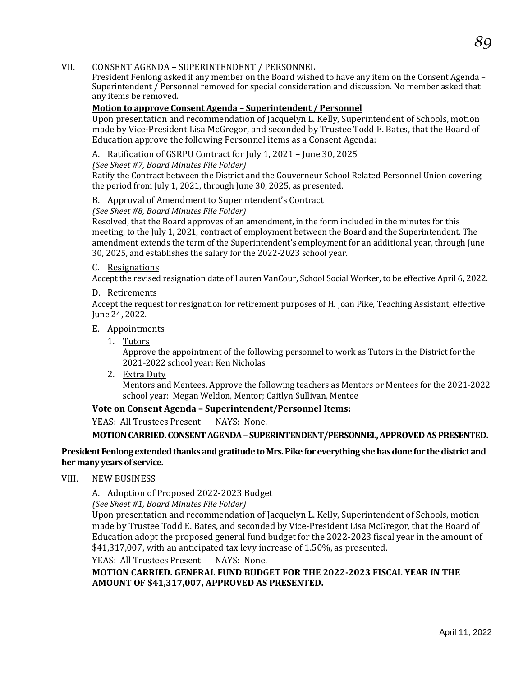# VII. CONSENT AGENDA – SUPERINTENDENT / PERSONNEL

President Fenlong asked if any member on the Board wished to have any item on the Consent Agenda – Superintendent / Personnel removed for special consideration and discussion. No member asked that any items be removed.

#### **Motion to approve Consent Agenda – Superintendent / Personnel**

Upon presentation and recommendation of Jacquelyn L. Kelly, Superintendent of Schools, motion made by Vice-President Lisa McGregor, and seconded by Trustee Todd E. Bates, that the Board of Education approve the following Personnel items as a Consent Agenda:

### A. Ratification of GSRPU Contract for July 1, 2021 – June 30, 2025

#### *(See Sheet #7, Board Minutes File Folder)*

Ratify the Contract between the District and the Gouverneur School Related Personnel Union covering the period from July 1, 2021, through June 30, 2025, as presented.

### B. Approval of Amendment to Superintendent's Contract

### *(See Sheet #8, Board Minutes File Folder)*

Resolved, that the Board approves of an amendment, in the form included in the minutes for this meeting, to the July 1, 2021, contract of employment between the Board and the Superintendent. The amendment extends the term of the Superintendent's employment for an additional year, through June 30, 2025, and establishes the salary for the 2022-2023 school year.

#### C. Resignations

Accept the revised resignation date of Lauren VanCour, School Social Worker, to be effective April 6, 2022.

#### D. Retirements

Accept the request for resignation for retirement purposes of H. Joan Pike, Teaching Assistant, effective June 24, 2022.

#### E. Appointments

1. Tutors

Approve the appointment of the following personnel to work as Tutors in the District for the 2021-2022 school year: Ken Nicholas

2. Extra Duty

Mentors and Mentees. Approve the following teachers as Mentors or Mentees for the 2021-2022 school year: Megan Weldon, Mentor; Caitlyn Sullivan, Mentee

### **Vote on Consent Agenda – Superintendent/Personnel Items:**

YEAS: All Trustees Present NAYS: None.

#### **MOTION CARRIED. CONSENT AGENDA– SUPERINTENDENT/PERSONNEL,APPROVED AS PRESENTED.**

# **President Fenlong extended thanks and gratitude to Mrs. Pikefor everything she hasdone for the district and her many years of service.**

VIII. NEW BUSINESS

# A. Adoption of Proposed 2022-2023 Budget

*(See Sheet #1, Board Minutes File Folder)*

Upon presentation and recommendation of Jacquelyn L. Kelly, Superintendent of Schools, motion made by Trustee Todd E. Bates, and seconded by Vice-President Lisa McGregor, that the Board of Education adopt the proposed general fund budget for the 2022-2023 fiscal year in the amount of \$41,317,007, with an anticipated tax levy increase of 1.50%, as presented.

YEAS: All Trustees Present NAYS: None.

### **MOTION CARRIED. GENERAL FUND BUDGET FOR THE 2022-2023 FISCAL YEAR IN THE AMOUNT OF \$41,317,007, APPROVED AS PRESENTED.**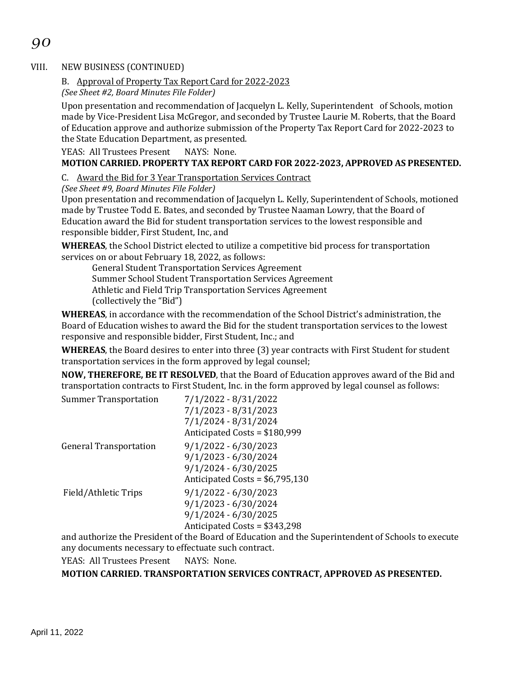# VIII. NEW BUSINESS (CONTINUED)

# B. Approval of Property Tax Report Card for 2022-2023

*(See Sheet #2, Board Minutes File Folder)*

Upon presentation and recommendation of Jacquelyn L. Kelly, Superintendent of Schools, motion made by Vice-President Lisa McGregor, and seconded by Trustee Laurie M. Roberts, that the Board of Education approve and authorize submission of the Property Tax Report Card for 2022-2023 to the State Education Department, as presented.

YEAS: All Trustees Present NAYS: None.

# **MOTION CARRIED. PROPERTY TAX REPORT CARD FOR 2022-2023, APPROVED AS PRESENTED.**

C. Award the Bid for 3 Year Transportation Services Contract

*(See Sheet #9, Board Minutes File Folder)*

Upon presentation and recommendation of Jacquelyn L. Kelly, Superintendent of Schools, motioned made by Trustee Todd E. Bates, and seconded by Trustee Naaman Lowry, that the Board of Education award the Bid for student transportation services to the lowest responsible and responsible bidder, First Student, Inc, and

**WHEREAS**, the School District elected to utilize a competitive bid process for transportation services on or about February 18, 2022, as follows:

General Student Transportation Services Agreement Summer School Student Transportation Services Agreement Athletic and Field Trip Transportation Services Agreement (collectively the "Bid")

**WHEREAS**, in accordance with the recommendation of the School District's administration, the Board of Education wishes to award the Bid for the student transportation services to the lowest responsive and responsible bidder, First Student, Inc.; and

**WHEREAS**, the Board desires to enter into three (3) year contracts with First Student for student transportation services in the form approved by legal counsel;

**NOW, THEREFORE, BE IT RESOLVED**, that the Board of Education approves award of the Bid and transportation contracts to First Student, Inc. in the form approved by legal counsel as follows:

| <b>Summer Transportation</b>  | 7/1/2022 - 8/31/2022<br>7/1/2023 - 8/31/2023<br>7/1/2024 - 8/31/2024<br>Anticipated Costs = \$180,999          |
|-------------------------------|----------------------------------------------------------------------------------------------------------------|
| <b>General Transportation</b> | $9/1/2022 - 6/30/2023$<br>$9/1/2023 - 6/30/2024$<br>$9/1/2024 - 6/30/2025$<br>Anticipated Costs = $$6,795,130$ |
| Field/Athletic Trips          | $9/1/2022 - 6/30/2023$<br>$9/1/2023 - 6/30/2024$<br>$9/1/2024 - 6/30/2025$<br>Anticipated Costs = \$343,298    |

and authorize the President of the Board of Education and the Superintendent of Schools to execute any documents necessary to effectuate such contract.

YEAS: All Trustees Present NAYS: None.

# **MOTION CARRIED. TRANSPORTATION SERVICES CONTRACT, APPROVED AS PRESENTED.**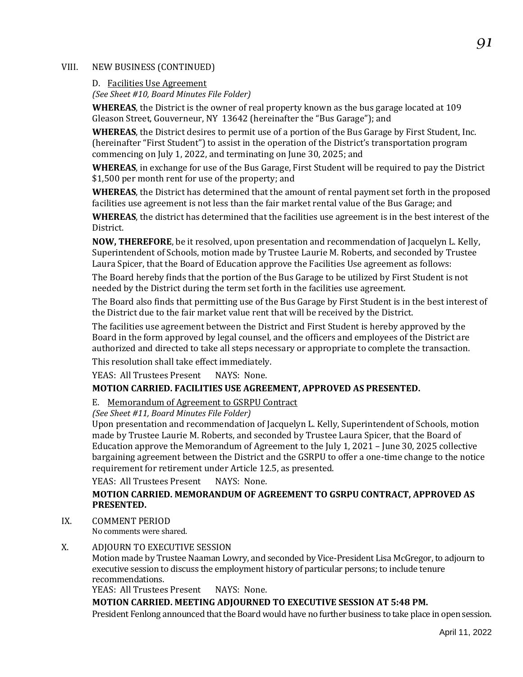# VIII. NEW BUSINESS (CONTINUED)

D. Facilities Use Agreement

*(See Sheet #10, Board Minutes File Folder)*

**WHEREAS**, the District is the owner of real property known as the bus garage located at 109 Gleason Street, Gouverneur, NY 13642 (hereinafter the "Bus Garage"); and

**WHEREAS**, the District desires to permit use of a portion of the Bus Garage by First Student, Inc. (hereinafter "First Student") to assist in the operation of the District's transportation program commencing on July 1, 2022, and terminating on June 30, 2025; and

**WHEREAS**, in exchange for use of the Bus Garage, First Student will be required to pay the District \$1,500 per month rent for use of the property; and

**WHEREAS**, the District has determined that the amount of rental payment set forth in the proposed facilities use agreement is not less than the fair market rental value of the Bus Garage; and

**WHEREAS**, the district has determined that the facilities use agreement is in the best interest of the District.

**NOW, THEREFORE**, be it resolved, upon presentation and recommendation of Jacquelyn L. Kelly, Superintendent of Schools, motion made by Trustee Laurie M. Roberts, and seconded by Trustee Laura Spicer, that the Board of Education approve the Facilities Use agreement as follows:

The Board hereby finds that the portion of the Bus Garage to be utilized by First Student is not needed by the District during the term set forth in the facilities use agreement.

The Board also finds that permitting use of the Bus Garage by First Student is in the best interest of the District due to the fair market value rent that will be received by the District.

The facilities use agreement between the District and First Student is hereby approved by the Board in the form approved by legal counsel, and the officers and employees of the District are authorized and directed to take all steps necessary or appropriate to complete the transaction.

This resolution shall take effect immediately.

YEAS: All Trustees Present NAYS: None.

# **MOTION CARRIED. FACILITIES USE AGREEMENT, APPROVED AS PRESENTED.**

# E. Memorandum of Agreement to GSRPU Contract

# *(See Sheet #11, Board Minutes File Folder)*

Upon presentation and recommendation of Jacquelyn L. Kelly, Superintendent of Schools, motion made by Trustee Laurie M. Roberts, and seconded by Trustee Laura Spicer, that the Board of Education approve the Memorandum of Agreement to the July 1, 2021 – June 30, 2025 collective bargaining agreement between the District and the GSRPU to offer a one-time change to the notice requirement for retirement under Article 12.5, as presented.

YEAS: All Trustees Present NAYS: None.

# **MOTION CARRIED. MEMORANDUM OF AGREEMENT TO GSRPU CONTRACT, APPROVED AS PRESENTED.**

# IX. COMMENT PERIOD

No comments were shared.

# X. ADJOURN TO EXECUTIVE SESSION

Motion made by Trustee Naaman Lowry, and seconded by Vice-President Lisa McGregor, to adjourn to executive session to discuss the employment history of particular persons; to include tenure recommendations.

YEAS: All Trustees Present NAYS: None.

# **MOTION CARRIED. MEETING ADJOURNED TO EXECUTIVE SESSION AT 5:48 PM.**

President Fenlong announced that the Board would have no further business to take place in open session.